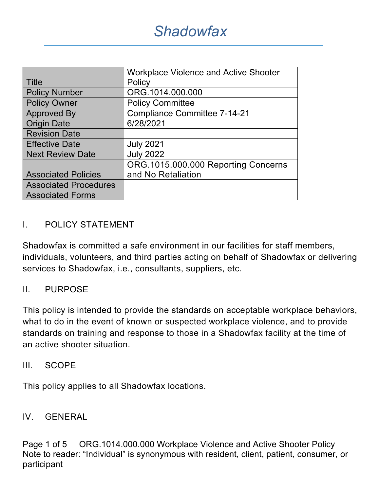|                              | <b>Workplace Violence and Active Shooter</b> |  |  |
|------------------------------|----------------------------------------------|--|--|
| <b>Title</b>                 | Policy                                       |  |  |
| <b>Policy Number</b>         | ORG.1014.000.000                             |  |  |
| <b>Policy Owner</b>          | <b>Policy Committee</b>                      |  |  |
| <b>Approved By</b>           | <b>Compliance Committee 7-14-21</b>          |  |  |
| <b>Origin Date</b>           | 6/28/2021                                    |  |  |
| <b>Revision Date</b>         |                                              |  |  |
| <b>Effective Date</b>        | <b>July 2021</b>                             |  |  |
| <b>Next Review Date</b>      | <b>July 2022</b>                             |  |  |
|                              | ORG.1015.000.000 Reporting Concerns          |  |  |
| <b>Associated Policies</b>   | and No Retaliation                           |  |  |
| <b>Associated Procedures</b> |                                              |  |  |
| <b>Associated Forms</b>      |                                              |  |  |

## I. POLICY STATEMENT

Shadowfax is committed a safe environment in our facilities for staff members, individuals, volunteers, and third parties acting on behalf of Shadowfax or delivering services to Shadowfax, i.e., consultants, suppliers, etc.

### II. PURPOSE

This policy is intended to provide the standards on acceptable workplace behaviors, what to do in the event of known or suspected workplace violence, and to provide standards on training and response to those in a Shadowfax facility at the time of an active shooter situation.

#### III. SCOPE

This policy applies to all Shadowfax locations.

#### IV. GENERAL

Page 1 of 5 ORG.1014.000.000 Workplace Violence and Active Shooter Policy Note to reader: "Individual" is synonymous with resident, client, patient, consumer, or participant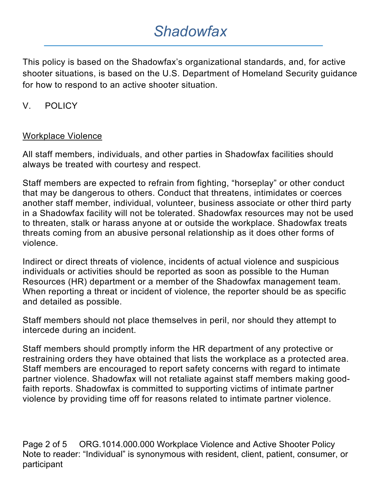This policy is based on the Shadowfax's organizational standards, and, for active shooter situations, is based on the U.S. Department of Homeland Security guidance for how to respond to an active shooter situation.

## V. POLICY

#### Workplace Violence

All staff members, individuals, and other parties in Shadowfax facilities should always be treated with courtesy and respect.

Staff members are expected to refrain from fighting, "horseplay" or other conduct that may be dangerous to others. Conduct that threatens, intimidates or coerces another staff member, individual, volunteer, business associate or other third party in a Shadowfax facility will not be tolerated. Shadowfax resources may not be used to threaten, stalk or harass anyone at or outside the workplace. Shadowfax treats threats coming from an abusive personal relationship as it does other forms of violence.

Indirect or direct threats of violence, incidents of actual violence and suspicious individuals or activities should be reported as soon as possible to the Human Resources (HR) department or a member of the Shadowfax management team. When reporting a threat or incident of violence, the reporter should be as specific and detailed as possible.

Staff members should not place themselves in peril, nor should they attempt to intercede during an incident.

Staff members should promptly inform the HR department of any protective or restraining orders they have obtained that lists the workplace as a protected area. Staff members are encouraged to report safety concerns with regard to intimate partner violence. Shadowfax will not retaliate against staff members making goodfaith reports. Shadowfax is committed to supporting victims of intimate partner violence by providing time off for reasons related to intimate partner violence.

Page 2 of 5 ORG.1014.000.000 Workplace Violence and Active Shooter Policy Note to reader: "Individual" is synonymous with resident, client, patient, consumer, or participant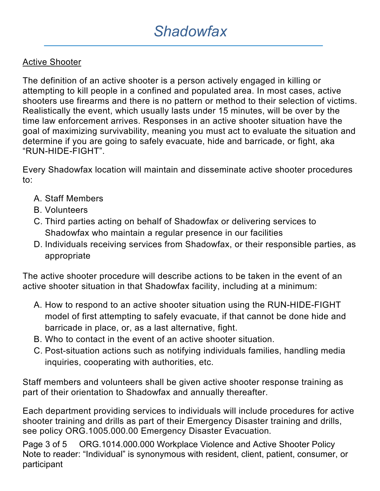## Active Shooter

The definition of an active shooter is a person actively engaged in killing or attempting to kill people in a confined and populated area. In most cases, active shooters use firearms and there is no pattern or method to their selection of victims. Realistically the event, which usually lasts under 15 minutes, will be over by the time law enforcement arrives. Responses in an active shooter situation have the goal of maximizing survivability, meaning you must act to evaluate the situation and determine if you are going to safely evacuate, hide and barricade, or fight, aka "RUN-HIDE-FIGHT".

Every Shadowfax location will maintain and disseminate active shooter procedures to:

- A. Staff Members
- B. Volunteers
- C. Third parties acting on behalf of Shadowfax or delivering services to Shadowfax who maintain a regular presence in our facilities
- D. Individuals receiving services from Shadowfax, or their responsible parties, as appropriate

The active shooter procedure will describe actions to be taken in the event of an active shooter situation in that Shadowfax facility, including at a minimum:

- A. How to respond to an active shooter situation using the RUN-HIDE-FIGHT model of first attempting to safely evacuate, if that cannot be done hide and barricade in place, or, as a last alternative, fight.
- B. Who to contact in the event of an active shooter situation.
- C. Post-situation actions such as notifying individuals families, handling media inquiries, cooperating with authorities, etc.

Staff members and volunteers shall be given active shooter response training as part of their orientation to Shadowfax and annually thereafter.

Each department providing services to individuals will include procedures for active shooter training and drills as part of their Emergency Disaster training and drills, see policy ORG.1005.000.00 Emergency Disaster Evacuation.

Page 3 of 5 ORG.1014.000.000 Workplace Violence and Active Shooter Policy Note to reader: "Individual" is synonymous with resident, client, patient, consumer, or participant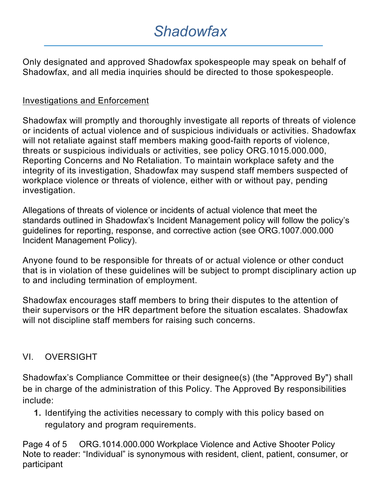Only designated and approved Shadowfax spokespeople may speak on behalf of Shadowfax, and all media inquiries should be directed to those spokespeople.

### Investigations and Enforcement

Shadowfax will promptly and thoroughly investigate all reports of threats of violence or incidents of actual violence and of suspicious individuals or activities. Shadowfax will not retaliate against staff members making good-faith reports of violence, threats or suspicious individuals or activities, see policy ORG.1015.000.000, Reporting Concerns and No Retaliation. To maintain workplace safety and the integrity of its investigation, Shadowfax may suspend staff members suspected of workplace violence or threats of violence, either with or without pay, pending investigation.

Allegations of threats of violence or incidents of actual violence that meet the standards outlined in Shadowfax's Incident Management policy will follow the policy's guidelines for reporting, response, and corrective action (see ORG.1007.000.000 Incident Management Policy).

Anyone found to be responsible for threats of or actual violence or other conduct that is in violation of these guidelines will be subject to prompt disciplinary action up to and including termination of employment.

Shadowfax encourages staff members to bring their disputes to the attention of their supervisors or the HR department before the situation escalates. Shadowfax will not discipline staff members for raising such concerns.

### VI. OVERSIGHT

Shadowfax's Compliance Committee or their designee(s) (the "Approved By") shall be in charge of the administration of this Policy. The Approved By responsibilities include:

**1.** Identifying the activities necessary to comply with this policy based on regulatory and program requirements.

Page 4 of 5 ORG.1014.000.000 Workplace Violence and Active Shooter Policy Note to reader: "Individual" is synonymous with resident, client, patient, consumer, or participant